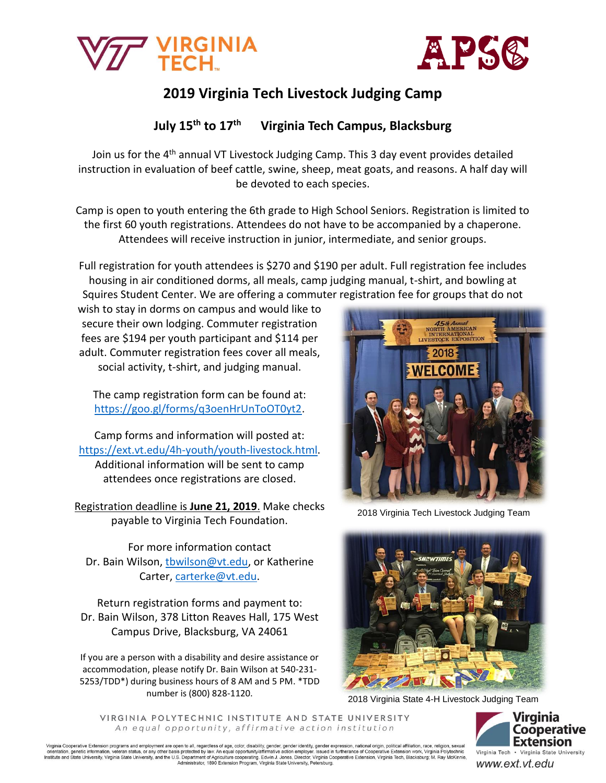



# **2019 Virginia Tech Livestock Judging Camp**

### **July 15th to 17th Virginia Tech Campus, Blacksburg**

Join us for the 4<sup>th</sup> annual VT Livestock Judging Camp. This 3 day event provides detailed instruction in evaluation of beef cattle, swine, sheep, meat goats, and reasons. A half day will be devoted to each species.

Camp is open to youth entering the 6th grade to High School Seniors. Registration is limited to the first 60 youth registrations. Attendees do not have to be accompanied by a chaperone. Attendees will receive instruction in junior, intermediate, and senior groups.

Full registration for youth attendees is \$270 and \$190 per adult. Full registration fee includes housing in air conditioned dorms, all meals, camp judging manual, t-shirt, and bowling at Squires Student Center. We are offering a commuter registration fee for groups that do not

wish to stay in dorms on campus and would like to secure their own lodging. Commuter registration fees are \$194 per youth participant and \$114 per adult. Commuter registration fees cover all meals, social activity, t-shirt, and judging manual.

The camp registration form can be found at: [https://goo.gl/forms/q3oenHrUnToOT0yt2.](https://goo.gl/forms/q3oenHrUnToOT0yt2)

Camp forms and information will posted at: [https://ext.vt.edu/4h-youth/youth-livestock.html.](https://ext.vt.edu/4h-youth/youth-livestock.html) Additional information will be sent to camp attendees once registrations are closed.

Registration deadline is **June 21, 2019**. Make checks payable to Virginia Tech Foundation.

For more information contact Dr. Bain Wilson, [tbwilson@vt.edu,](mailto:tbwilson@vt.edu) or Katherine Carter, [carterke@vt.edu.](mailto:carterke@vt.edu)

Return registration forms and payment to: Dr. Bain Wilson, 378 Litton Reaves Hall, 175 West Campus Drive, Blacksburg, VA 24061

If you are a person with a disability and desire assistance or accommodation, please notify Dr. Bain Wilson at 540-231- 5253/TDD\*) during business hours of 8 AM and 5 PM. \*TDD number is (800) 828-1120.



2018 Virginia Tech Livestock Judging Team



2018 Virginia State 4-H Livestock Judging Team

VIRGINIA POLYTECHNIC INSTITUTE AND STATE UNIVERSITY An equal opportunity, affirmative action institution



Virginia Cooperative Extension programs and employment are open to all, regardless of age, color, disability, gender, gender identity, gender expression, national origin, political affiliation, race, religion, sexual orie

www.ext.vt.edu